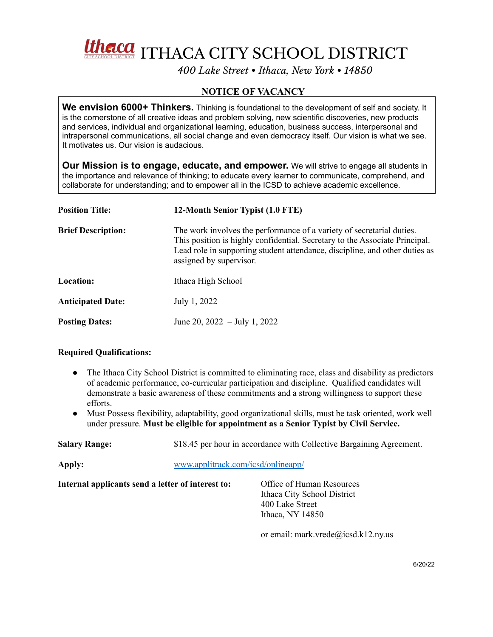Unelca ITHACA CITY SCHOOL DISTRICT

*400 Lake Street • Ithaca, New York • 14850*

## **NOTICE OF VACANCY**

**We envision 6000+ Thinkers.** Thinking is foundational to the development of self and society. It is the cornerstone of all creative ideas and problem solving, new scientific discoveries, new products and services, individual and organizational learning, education, business success, interpersonal and intrapersonal communications, all social change and even democracy itself. Our vision is what we see. It motivates us. Our vision is audacious.

**Our Mission is to engage, educate, and empower.** We will strive to engage all students in the importance and relevance of thinking; to educate every learner to communicate, comprehend, and collaborate for understanding; and to empower all in the ICSD to achieve academic excellence.

| <b>Position Title:</b>    | 12-Month Senior Typist (1.0 FTE)                                                                                                                                                                                                                               |  |
|---------------------------|----------------------------------------------------------------------------------------------------------------------------------------------------------------------------------------------------------------------------------------------------------------|--|
| <b>Brief Description:</b> | The work involves the performance of a variety of secretarial duties.<br>This position is highly confidential. Secretary to the Associate Principal.<br>Lead role in supporting student attendance, discipline, and other duties as<br>assigned by supervisor. |  |
| Location:                 | Ithaca High School                                                                                                                                                                                                                                             |  |
| <b>Anticipated Date:</b>  | July 1, 2022                                                                                                                                                                                                                                                   |  |
| <b>Posting Dates:</b>     | June 20, 2022 - July 1, 2022                                                                                                                                                                                                                                   |  |

## **Required Qualifications:**

- The Ithaca City School District is committed to eliminating race, class and disability as predictors of academic performance, co-curricular participation and discipline. Qualified candidates will demonstrate a basic awareness of these commitments and a strong willingness to support these efforts.
- Must Possess flexibility, adaptability, good organizational skills, must be task oriented, work well under pressure. **Must be eligible for appointment as a Senior Typist by Civil Service.**

| <b>Salary Range:</b>                              | \$18.45 per hour in accordance with Collective Bargaining Agreement.<br>www.applitrack.com/icsd/onlineapp/ |                                                                                                 |  |
|---------------------------------------------------|------------------------------------------------------------------------------------------------------------|-------------------------------------------------------------------------------------------------|--|
| Apply:                                            |                                                                                                            |                                                                                                 |  |
| Internal applicants send a letter of interest to: |                                                                                                            | Office of Human Resources<br>Ithaca City School District<br>400 Lake Street<br>Ithaca, NY 14850 |  |

or email: mark.vrede@icsd.k12.ny.us